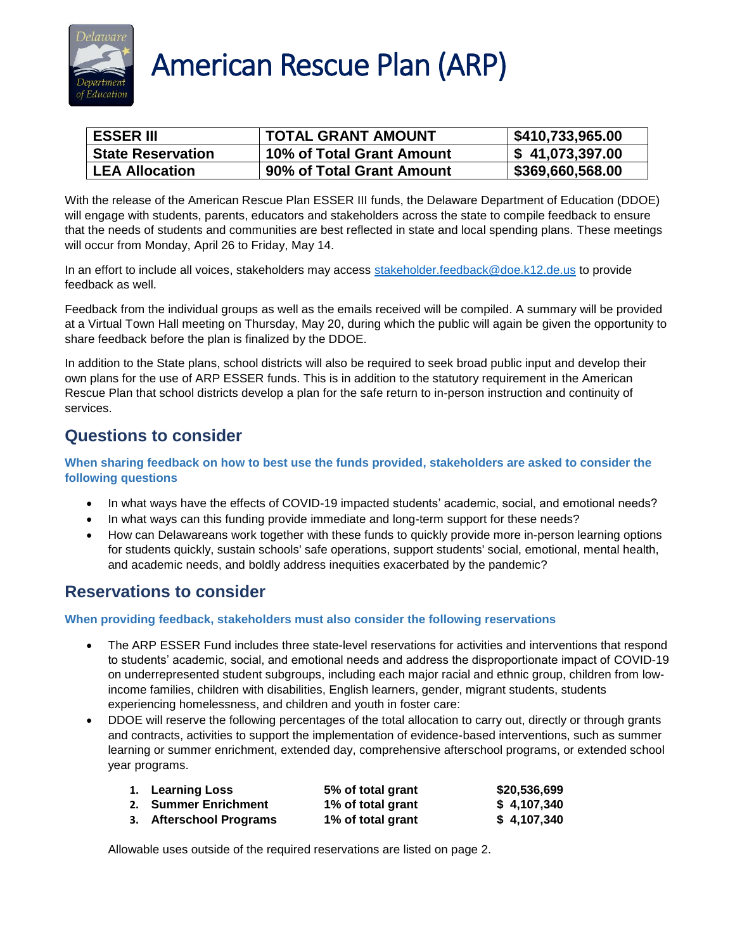

## **American Rescue Plan (ARP)**

| <b>ESSER III</b>         | <b>TOTAL GRANT AMOUNT</b> | \$410,733,965.00 |
|--------------------------|---------------------------|------------------|
| <b>State Reservation</b> | 10% of Total Grant Amount | \$41,073,397.00  |
| <b>LEA Allocation</b>    | 90% of Total Grant Amount | \$369,660,568.00 |

With the release of the American Rescue Plan ESSER III funds, the Delaware Department of Education (DDOE) will engage with students, parents, educators and stakeholders across the state to compile feedback to ensure that the needs of students and communities are best reflected in state and local spending plans. These meetings will occur from Monday, April 26 to Friday, May 14.

In an effort to include all voices, stakeholders may access [stakeholder.feedback@doe.k12.de.us](mailto:stakeholder.feedback@doe.k12.de.us) to provide feedback as well.

Feedback from the individual groups as well as the emails received will be compiled. A summary will be provided at a Virtual Town Hall meeting on Thursday, May 20, during which the public will again be given the opportunity to share feedback before the plan is finalized by the DDOE.

In addition to the State plans, school districts will also be required to seek broad public input and develop their own plans for the use of ARP ESSER funds. This is in addition to the statutory requirement in the American Rescue Plan that school districts develop a plan for the safe return to in-person instruction and continuity of services.

## **Questions to consider**

**When sharing feedback on how to best use the funds provided, stakeholders are asked to consider the following questions**

- In what ways have the effects of COVID-19 impacted students' academic, social, and emotional needs?
- In what ways can this funding provide immediate and long-term support for these needs?
- How can Delawareans work together with these funds to quickly provide more in-person learning options for students quickly, sustain schools' safe operations, support students' social, emotional, mental health, and academic needs, and boldly address inequities exacerbated by the pandemic?

## **Reservations to consider**

**When providing feedback, stakeholders must also consider the following reservations**

- The ARP ESSER Fund includes three state-level reservations for activities and interventions that respond to students' academic, social, and emotional needs and address the disproportionate impact of COVID-19 on underrepresented student subgroups, including each major racial and ethnic group, children from lowincome families, children with disabilities, English learners, gender, migrant students, students experiencing homelessness, and children and youth in foster care:
- DDOE will reserve the following percentages of the total allocation to carry out, directly or through grants and contracts, activities to support the implementation of evidence-based interventions, such as summer learning or summer enrichment, extended day, comprehensive afterschool programs, or extended school year programs.

| 1. Learning Loss        | 5% of total grant | \$20,536,699 |
|-------------------------|-------------------|--------------|
| 2. Summer Enrichment    | 1% of total grant | \$4,107,340  |
| 3. Afterschool Programs | 1% of total grant | \$4,107,340  |

Allowable uses outside of the required reservations are listed on page 2.